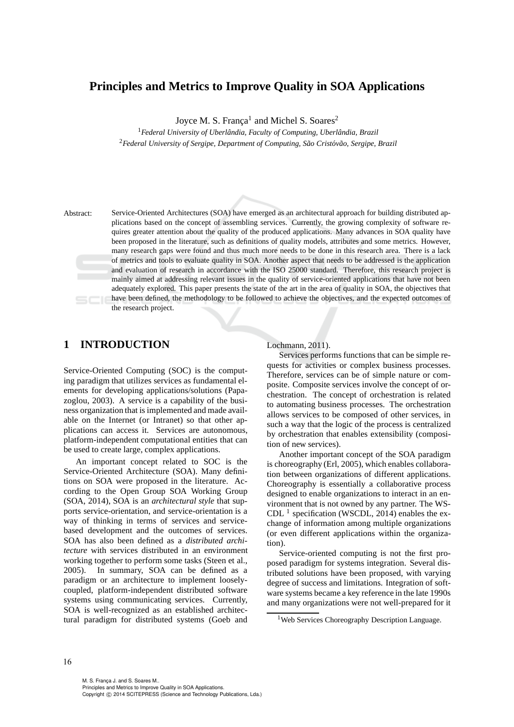# **Principles and Metrics to Improve Quality in SOA Applications**

Joyce M. S. França<sup>1</sup> and Michel S. Soares<sup>2</sup>

<sup>1</sup> Federal University of Uberlândia, Faculty of Computing, Uberlândia, Brazil <sup>2</sup>Federal University of Sergipe, Department of Computing, São Cristóvão, Sergipe, Brazil

Abstract: Service-Oriented Architectures (SOA) have emerged as an architectural approach for building distributed applications based on the concept of assembling services. Currently, the growing complexity of software requires greater attention about the quality of the produced applications. Many advances in SOA quality have been proposed in the literature, such as definitions of quality models, attributes and some metrics. However, many research gaps were found and thus much more needs to be done in this research area. There is a lack of metrics and tools to evaluate quality in SOA. Another aspect that needs to be addressed is the application and evaluation of research in accordance with the ISO 25000 standard. Therefore, this research project is mainly aimed at addressing relevant issues in the quality of service-oriented applications that have not been adequately explored. This paper presents the state of the art in the area of quality in SOA, the objectives that have been defined, the methodology to be followed to achieve the objectives, and the expected outcomes of the research project.

# **1 INTRODUCTION**

Service-Oriented Computing (SOC) is the computing paradigm that utilizes services as fundamental elements for developing applications/solutions (Papazoglou, 2003). A service is a capability of the business organization that is implemented and made available on the Internet (or Intranet) so that other applications can access it. Services are autonomous, platform-independent computational entities that can be used to create large, complex applications.

An important concept related to SOC is the Service-Oriented Architecture (SOA). Many definitions on SOA were proposed in the literature. According to the Open Group SOA Working Group (SOA, 2014), SOA is an *architectural style* that supports service-orientation, and service-orientation is a way of thinking in terms of services and servicebased development and the outcomes of services. SOA has also been defined as a *distributed architecture* with services distributed in an environment working together to perform some tasks (Steen et al., 2005). In summary, SOA can be defined as a paradigm or an architecture to implement looselycoupled, platform-independent distributed software systems using communicating services. Currently, SOA is well-recognized as an established architectural paradigm for distributed systems (Goeb and

### Lochmann, 2011).

Services performs functions that can be simple requests for activities or complex business processes. Therefore, services can be of simple nature or composite. Composite services involve the concept of orchestration. The concept of orchestration is related to automating business processes. The orchestration allows services to be composed of other services, in such a way that the logic of the process is centralized by orchestration that enables extensibility (composition of new services).

Another important concept of the SOA paradigm is choreography (Erl, 2005), which enables collaboration between organizations of different applications. Choreography is essentially a collaborative process designed to enable organizations to interact in an environment that is not owned by any partner. The WS-CDL<sup>1</sup> specification (WSCDL, 2014) enables the exchange of information among multiple organizations (or even different applications within the organization).

Service-oriented computing is not the first proposed paradigm for systems integration. Several distributed solutions have been proposed, with varying degree of success and limitations. Integration of software systems became a key reference in the late 1990s and many organizations were not well-prepared for it

<sup>&</sup>lt;sup>1</sup>Web Services Choreography Description Language.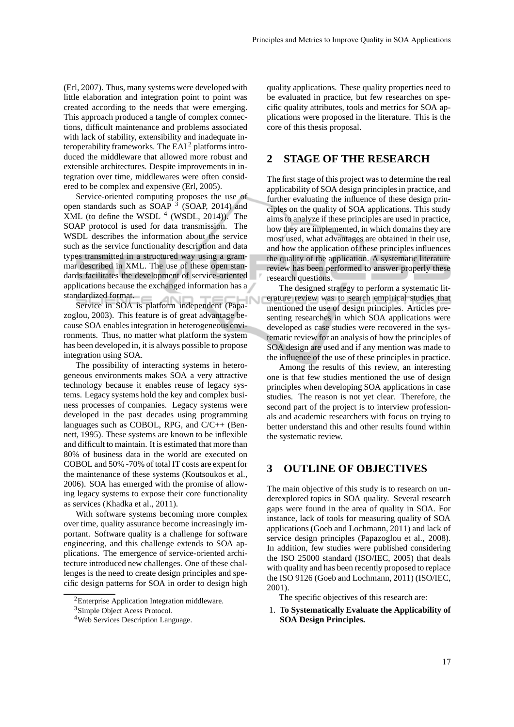(Erl, 2007). Thus, many systems were developed with little elaboration and integration point to point was created according to the needs that were emerging. This approach produced a tangle of complex connections, difficult maintenance and problems associated with lack of stability, extensibility and inadequate interoperability frameworks. The EAI $<sup>2</sup>$  platforms intro-</sup> duced the middleware that allowed more robust and extensible architectures. Despite improvements in integration over time, middlewares were often considered to be complex and expensive (Erl, 2005).

Service-oriented computing proposes the use of open standards such as  $SOAP<sup>3</sup>$  (SOAP, 2014) and  $XML$  (to define the WSDL  $<sup>4</sup>$  (WSDL, 2014)). The</sup> SOAP protocol is used for data transmission. The WSDL describes the information about the service such as the service functionality description and data types transmitted in a structured way using a grammar described in XML. The use of these open standards facilitates the development of service-oriented applications because the exchanged information has a standardized format.

Service in SOA is platform independent (Papazoglou, 2003). This feature is of great advantage because SOA enables integration in heterogeneous environments. Thus, no matter what platform the system has been developed in, it is always possible to propose integration using SOA.

The possibility of interacting systems in heterogeneous environments makes SOA a very attractive technology because it enables reuse of legacy systems. Legacy systems hold the key and complex business processes of companies. Legacy systems were developed in the past decades using programming languages such as COBOL, RPG, and C/C++ (Bennett, 1995). These systems are known to be inflexible and difficult to maintain. It is estimated that more than 80% of business data in the world are executed on COBOL and 50% -70% of total IT costs are expent for the maintenance of these systems (Koutsoukos et al., 2006). SOA has emerged with the promise of allowing legacy systems to expose their core functionality as services (Khadka et al., 2011).

With software systems becoming more complex over time, quality assurance become increasingly important. Software quality is a challenge for software engineering, and this challenge extends to SOA applications. The emergence of service-oriented architecture introduced new challenges. One of these challenges is the need to create design principles and specific design patterns for SOA in order to design high quality applications. These quality properties need to be evaluated in practice, but few researches on specific quality attributes, tools and metrics for SOA applications were proposed in the literature. This is the core of this thesis proposal.

# **2 STAGE OF THE RESEARCH**

The first stage of this project was to determine the real applicability of SOA design principles in practice, and further evaluating the influence of these design principles on the quality of SOA applications. This study aims to analyze if these principles are used in practice, how they are implemented, in which domains they are most used, what advantages are obtained in their use, and how the application of these principles influences the quality of the application. A systematic literature review has been performed to answer properly these research questions.

The designed strategy to perform a systematic literature review was to search empirical studies that mentioned the use of design principles. Articles presenting researches in which SOA applications were developed as case studies were recovered in the systematic review for an analysis of how the principles of SOA design are used and if any mention was made to the influence of the use of these principles in practice.

U

Among the results of this review, an interesting one is that few studies mentioned the use of design principles when developing SOA applications in case studies. The reason is not yet clear. Therefore, the second part of the project is to interview professionals and academic researchers with focus on trying to better understand this and other results found within the systematic review.

# **3 OUTLINE OF OBJECTIVES**

The main objective of this study is to research on underexplored topics in SOA quality. Several research gaps were found in the area of quality in SOA. For instance, lack of tools for measuring quality of SOA applications (Goeb and Lochmann, 2011) and lack of service design principles (Papazoglou et al., 2008). In addition, few studies were published considering the ISO 25000 standard (ISO/IEC, 2005) that deals with quality and has been recently proposed to replace the ISO 9126 (Goeb and Lochmann, 2011) (ISO/IEC, 2001).

The specific objectives of this research are:

1. **To Systematically Evaluate the Applicability of SOA Design Principles.**

<sup>2</sup>Enterprise Application Integration middleware.

<sup>3</sup>Simple Object Acess Protocol.

<sup>4</sup>Web Services Description Language.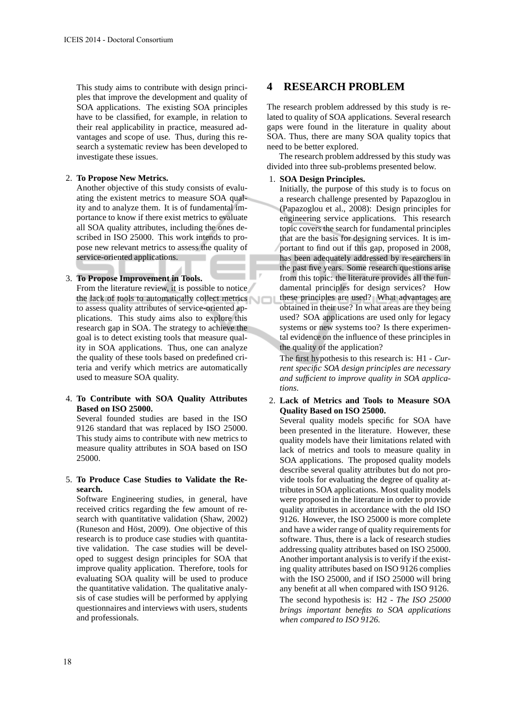This study aims to contribute with design principles that improve the development and quality of SOA applications. The existing SOA principles have to be classified, for example, in relation to their real applicability in practice, measured advantages and scope of use. Thus, during this research a systematic review has been developed to investigate these issues.

#### 2. **To Propose New Metrics.**

Another objective of this study consists of evaluating the existent metrics to measure SOA quality and to analyze them. It is of fundamental importance to know if there exist metrics to evaluate all SOA quality attributes, including the ones described in ISO 25000. This work intends to propose new relevant metrics to assess the quality of service-oriented applications.

### 3. **To Propose Improvement in Tools.**

From the literature review, it is possible to notice the lack of tools to automatically collect metrics to assess quality attributes of service-oriented applications. This study aims also to explore this research gap in SOA. The strategy to achieve the goal is to detect existing tools that measure quality in SOA applications. Thus, one can analyze the quality of these tools based on predefined criteria and verify which metrics are automatically used to measure SOA quality.

### 4. **To Contribute with SOA Quality Attributes Based on ISO 25000.**

Several founded studies are based in the ISO 9126 standard that was replaced by ISO 25000. This study aims to contribute with new metrics to measure quality attributes in SOA based on ISO 25000.

### 5. **To Produce Case Studies to Validate the Research.**

Software Engineering studies, in general, have received critics regarding the few amount of research with quantitative validation (Shaw, 2002) (Runeson and Höst, 2009). One objective of this research is to produce case studies with quantitative validation. The case studies will be developed to suggest design principles for SOA that improve quality application. Therefore, tools for evaluating SOA quality will be used to produce the quantitative validation. The qualitative analysis of case studies will be performed by applying questionnaires and interviews with users, students and professionals.

# **4 RESEARCH PROBLEM**

The research problem addressed by this study is related to quality of SOA applications. Several research gaps were found in the literature in quality about SOA. Thus, there are many SOA quality topics that need to be better explored.

The research problem addressed by this study was divided into three sub-problems presented below.

### 1. **SOA Design Principles.**

Initially, the purpose of this study is to focus on a research challenge presented by Papazoglou in (Papazoglou et al., 2008): Design principles for engineering service applications. This research topic covers the search for fundamental principles that are the basis for designing services. It is important to find out if this gap, proposed in 2008, has been adequately addressed by researchers in the past five years. Some research questions arise from this topic: the literature provides all the fundamental principles for design services? How these principles are used? What advantages are obtained in their use? In what areas are they being used? SOA applications are used only for legacy systems or new systems too? Is there experimental evidence on the influence of these principles in the quality of the application?

The first hypothesis to this research is: H1 - *Current specific SOA design principles are necessary and sufficient to improve quality in SOA applications*.

## 2. **Lack of Metrics and Tools to Measure SOA Quality Based on ISO 25000.**

Several quality models specific for SOA have been presented in the literature. However, these quality models have their limitations related with lack of metrics and tools to measure quality in SOA applications. The proposed quality models describe several quality attributes but do not provide tools for evaluating the degree of quality attributes in SOA applications. Most quality models were proposed in the literature in order to provide quality attributes in accordance with the old ISO 9126. However, the ISO 25000 is more complete and have a wider range of quality requirements for software. Thus, there is a lack of research studies addressing quality attributes based on ISO 25000. Another important analysis is to verify if the existing quality attributes based on ISO 9126 complies with the ISO 25000, and if ISO 25000 will bring any benefit at all when compared with ISO 9126. The second hypothesis is: H2 - *The ISO 25000 brings important benefits to SOA applications when compared to ISO 9126.*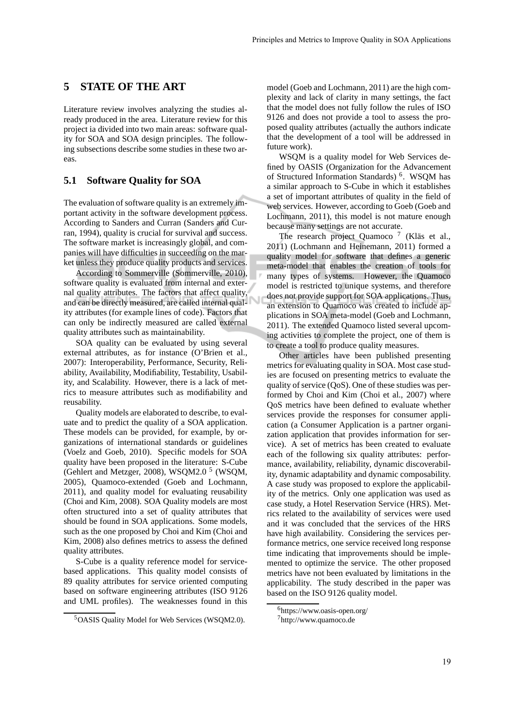## **5 STATE OF THE ART**

Literature review involves analyzing the studies already produced in the area. Literature review for this project ia divided into two main areas: software quality for SOA and SOA design principles. The following subsections describe some studies in these two areas.

## **5.1 Software Quality for SOA**

The evaluation of software quality is an extremely important activity in the software development process. According to Sanders and Curran (Sanders and Curran, 1994), quality is crucial for survival and success. The software market is increasingly global, and companies will have difficulties in succeeding on the market unless they produce quality products and services.

According to Sommerville (Sommerville, 2010), software quality is evaluated from internal and external quality attributes. The factors that affect quality, and can be directly measured, are called internal quality attributes (for example lines of code). Factors that can only be indirectly measured are called external quality attributes such as maintainability.

SOA quality can be evaluated by using several external attributes, as for instance (O'Brien et al., 2007): Interoperability, Performance, Security, Reliability, Availability, Modifiability, Testability, Usability, and Scalability. However, there is a lack of metrics to measure attributes such as modifiability and reusability.

Quality models are elaborated to describe, to evaluate and to predict the quality of a SOA application. These models can be provided, for example, by organizations of international standards or guidelines (Voelz and Goeb, 2010). Specific models for SOA quality have been proposed in the literature: S-Cube (Gehlert and Metzger, 2008), WSQM2.0<sup>5</sup> (WSQM, 2005), Quamoco-extended (Goeb and Lochmann, 2011), and quality model for evaluating reusability (Choi and Kim, 2008). SOA Quality models are most often structured into a set of quality attributes that should be found in SOA applications. Some models, such as the one proposed by Choi and Kim (Choi and Kim, 2008) also defines metrics to assess the defined quality attributes.

S-Cube is a quality reference model for servicebased applications. This quality model consists of 89 quality attributes for service oriented computing based on software engineering attributes (ISO 9126 and UML profiles). The weaknesses found in this model (Goeb and Lochmann, 2011) are the high complexity and lack of clarity in many settings, the fact that the model does not fully follow the rules of ISO 9126 and does not provide a tool to assess the proposed quality attributes (actually the authors indicate that the development of a tool will be addressed in future work).

WSQM is a quality model for Web Services defined by OASIS (Organization for the Advancement of Structured Information Standards)<sup>6</sup>. WSQM has a similar approach to S-Cube in which it establishes a set of important attributes of quality in the field of web services. However, according to Goeb (Goeb and Lochmann, 2011), this model is not mature enough because many settings are not accurate.

The research project Quamoco<sup>7</sup> (Kläs et al., 2011) (Lochmann and Heinemann, 2011) formed a quality model for software that defines a generic meta-model that enables the creation of tools for many types of systems. However, the Quamoco model is restricted to unique systems, and therefore does not provide support for SOA applications. Thus, an extension to Quamoco was created to include applications in SOA meta-model (Goeb and Lochmann, 2011). The extended Quamoco listed several upcoming activities to complete the project, one of them is to create a tool to produce quality measures.

Other articles have been published presenting metrics for evaluating quality in SOA. Most case studies are focused on presenting metrics to evaluate the quality of service (QoS). One of these studies was performed by Choi and Kim (Choi et al., 2007) where QoS metrics have been defined to evaluate whether services provide the responses for consumer application (a Consumer Application is a partner organization application that provides information for service). A set of metrics has been created to evaluate each of the following six quality attributes: performance, availability, reliability, dynamic discoverability, dynamic adaptability and dynamic composability. A case study was proposed to explore the applicability of the metrics. Only one application was used as case study, a Hotel Reservation Service (HRS). Metrics related to the availability of services were used and it was concluded that the services of the HRS have high availability. Considering the services performance metrics, one service received long response time indicating that improvements should be implemented to optimize the service. The other proposed metrics have not been evaluated by limitations in the applicability. The study described in the paper was based on the ISO 9126 quality model.

<sup>5</sup>OASIS Quality Model for Web Services (WSQM2.0).

<sup>6</sup>https://www.oasis-open.org/

<sup>7</sup>http://www.quamoco.de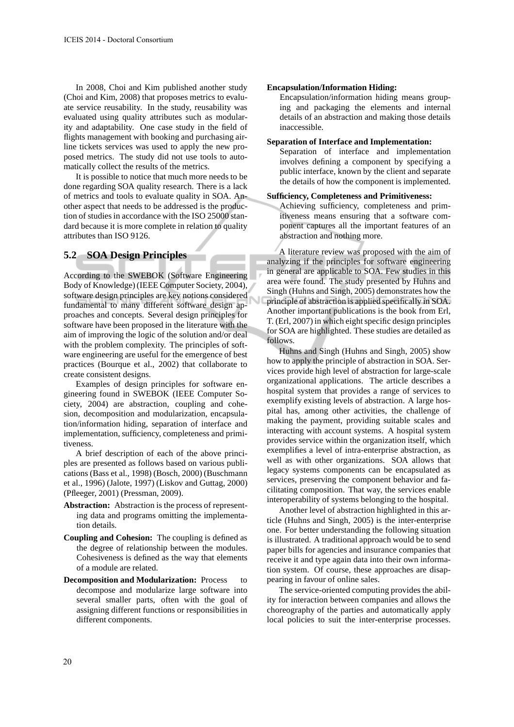In 2008, Choi and Kim published another study (Choi and Kim, 2008) that proposes metrics to evaluate service reusability. In the study, reusability was evaluated using quality attributes such as modularity and adaptability. One case study in the field of flights management with booking and purchasing airline tickets services was used to apply the new proposed metrics. The study did not use tools to automatically collect the results of the metrics.

It is possible to notice that much more needs to be done regarding SOA quality research. There is a lack of metrics and tools to evaluate quality in SOA. Another aspect that needs to be addressed is the production of studies in accordance with the ISO 25000 standard because it is more complete in relation to quality attributes than ISO 9126.

## **5.2 SOA Design Principles**

According to the SWEBOK (Software Engineering Body of Knowledge) (IEEE Computer Society, 2004), software design principles are key notions considered fundamental to many different software design approaches and concepts. Several design principles for software have been proposed in the literature with the aim of improving the logic of the solution and/or deal with the problem complexity. The principles of software engineering are useful for the emergence of best practices (Bourque et al., 2002) that collaborate to create consistent designs.

Examples of design principles for software engineering found in SWEBOK (IEEE Computer Society, 2004) are abstraction, coupling and cohesion, decomposition and modularization, encapsulation/information hiding, separation of interface and implementation, sufficiency, completeness and primitiveness.

A brief description of each of the above principles are presented as follows based on various publications (Bass et al., 1998) (Bosch, 2000) (Buschmann et al., 1996) (Jalote, 1997) (Liskov and Guttag, 2000) (Pfleeger, 2001) (Pressman, 2009).

- **Abstraction:** Abstraction is the process of representing data and programs omitting the implementation details.
- **Coupling and Cohesion:** The coupling is defined as the degree of relationship between the modules. Cohesiveness is defined as the way that elements of a module are related.
- **Decomposition and Modularization:** Process to decompose and modularize large software into several smaller parts, often with the goal of assigning different functions or responsibilities in different components.

#### **Encapsulation/Information Hiding:**

Encapsulation/information hiding means grouping and packaging the elements and internal details of an abstraction and making those details inaccessible.

### **Separation of Interface and Implementation:**

Separation of interface and implementation involves defining a component by specifying a public interface, known by the client and separate the details of how the component is implemented.

#### **Sufficiency, Completeness and Primitiveness:**

Achieving sufficiency, completeness and primitiveness means ensuring that a software component captures all the important features of an abstraction and nothing more.

A literature review was proposed with the aim of analyzing if the principles for software engineering in general are applicable to SOA. Few studies in this area were found. The study presented by Huhns and Singh (Huhns and Singh, 2005) demonstrates how the principle of abstraction is applied specifically in SOA. Another important publications is the book from Erl, T. (Erl, 2007) in which eight specific design principles for SOA are highlighted. These studies are detailed as follows.

Huhns and Singh (Huhns and Singh, 2005) show how to apply the principle of abstraction in SOA. Services provide high level of abstraction for large-scale organizational applications. The article describes a hospital system that provides a range of services to exemplify existing levels of abstraction. A large hospital has, among other activities, the challenge of making the payment, providing suitable scales and interacting with account systems. A hospital system provides service within the organization itself, which exemplifies a level of intra-enterprise abstraction, as well as with other organizations. SOA allows that legacy systems components can be encapsulated as services, preserving the component behavior and facilitating composition. That way, the services enable interoperability of systems belonging to the hospital.

Another level of abstraction highlighted in this article (Huhns and Singh, 2005) is the inter-enterprise one. For better understanding the following situation is illustrated. A traditional approach would be to send paper bills for agencies and insurance companies that receive it and type again data into their own information system. Of course, these approaches are disappearing in favour of online sales.

The service-oriented computing provides the ability for interaction between companies and allows the choreography of the parties and automatically apply local policies to suit the inter-enterprise processes.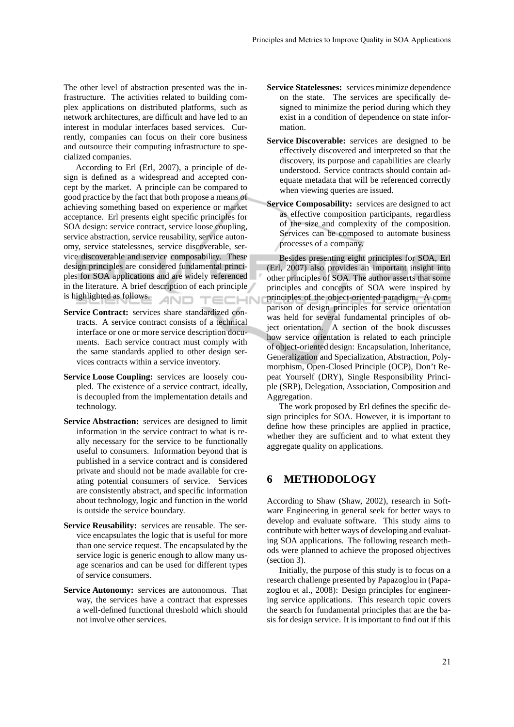The other level of abstraction presented was the infrastructure. The activities related to building complex applications on distributed platforms, such as network architectures, are difficult and have led to an interest in modular interfaces based services. Currently, companies can focus on their core business and outsource their computing infrastructure to specialized companies.

According to Erl (Erl, 2007), a principle of design is defined as a widespread and accepted concept by the market. A principle can be compared to good practice by the fact that both propose a means of achieving something based on experience or market acceptance. Erl presents eight specific principles for SOA design: service contract, service loose coupling, service abstraction, service reusability, service autonomy, service statelessnes, service discoverable, service discoverable and service composability. These design principles are considered fundamental principles for SOA applications and are widely referenced in the literature. A brief description of each principle is highlighted as follows. TECHN AND.

- **Service Contract:** services share standardized contracts. A service contract consists of a technical interface or one or more service description documents. Each service contract must comply with the same standards applied to other design services contracts within a service inventory.
- **Service Loose Coupling:** services are loosely coupled. The existence of a service contract, ideally, is decoupled from the implementation details and technology.
- **Service Abstraction:** services are designed to limit information in the service contract to what is really necessary for the service to be functionally useful to consumers. Information beyond that is published in a service contract and is considered private and should not be made available for creating potential consumers of service. Services are consistently abstract, and specific information about technology, logic and function in the world is outside the service boundary.
- **Service Reusability:** services are reusable. The service encapsulates the logic that is useful for more than one service request. The encapsulated by the service logic is generic enough to allow many usage scenarios and can be used for different types of service consumers.
- **Service Autonomy:** services are autonomous. That way, the services have a contract that expresses a well-defined functional threshold which should not involve other services.
- **Service Statelessnes:** services minimize dependence on the state. The services are specifically designed to minimize the period during which they exist in a condition of dependence on state information.
- **Service Discoverable:** services are designed to be effectively discovered and interpreted so that the discovery, its purpose and capabilities are clearly understood. Service contracts should contain adequate metadata that will be referenced correctly when viewing queries are issued.
- **Service Composability:** services are designed to act as effective composition participants, regardless of the size and complexity of the composition. Services can be composed to automate business processes of a company.

Besides presenting eight principles for SOA, Erl (Erl, 2007) also provides an important insight into other principles of SOA. The author asserts that some principles and concepts of SOA were inspired by principles of the object-oriented paradigm. A comparison of design principles for service orientation was held for several fundamental principles of object orientation. A section of the book discusses how service orientation is related to each principle of object-oriented design: Encapsulation, Inheritance, Generalization and Specialization, Abstraction, Polymorphism, Open-Closed Principle (OCP), Don't Repeat Yourself (DRY), Single Responsibility Principle (SRP), Delegation, Association, Composition and Aggregation.

The work proposed by Erl defines the specific design principles for SOA. However, it is important to define how these principles are applied in practice, whether they are sufficient and to what extent they aggregate quality on applications.

## **6 METHODOLOGY**

According to Shaw (Shaw, 2002), research in Software Engineering in general seek for better ways to develop and evaluate software. This study aims to contribute with better ways of developing and evaluating SOA applications. The following research methods were planned to achieve the proposed objectives (section 3).

Initially, the purpose of this study is to focus on a research challenge presented by Papazoglou in (Papazoglou et al., 2008): Design principles for engineering service applications. This research topic covers the search for fundamental principles that are the basis for design service. It is important to find out if this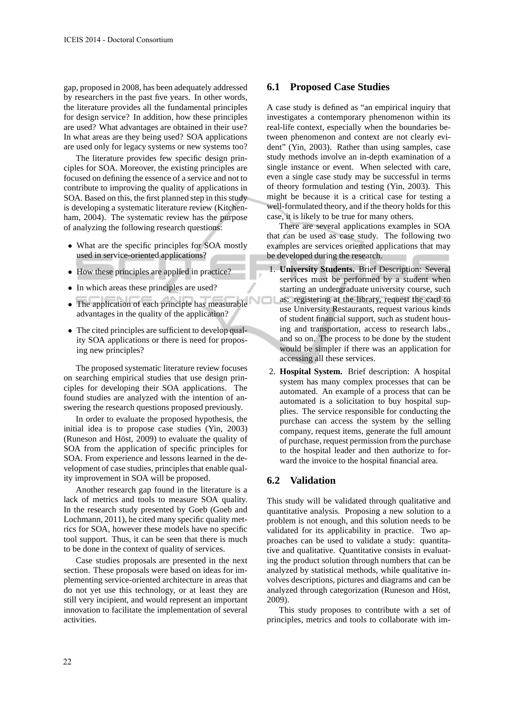gap, proposed in 2008, has been adequately addressed by researchers in the past five years. In other words, the literature provides all the fundamental principles for design service? In addition, how these principles are used? What advantages are obtained in their use? In what areas are they being used? SOA applications are used only for legacy systems or new systems too?

The literature provides few specific design principles for SOA. Moreover, the existing principles are focused on defining the essence of a service and not to contribute to improving the quality of applications in SOA. Based on this, the first planned step in this study is developing a systematic literature review (Kitchenham, 2004). The systematic review has the purpose of analyzing the following research questions:

- What are the specific principles for SOA mostly used in service-oriented applications?
- How these principles are applied in practice?
- In which areas these principles are used?
- The application of each principle has measurable advantages in the quality of the application?
- The cited principles are sufficient to develop quality SOA applications or there is need for proposing new principles?

The proposed systematic literature review focuses on searching empirical studies that use design principles for developing their SOA applications. The found studies are analyzed with the intention of answering the research questions proposed previously.

In order to evaluate the proposed hypothesis, the initial idea is to propose case studies (Yin, 2003) (Runeson and Höst, 2009) to evaluate the quality of SOA from the application of specific principles for SOA. From experience and lessons learned in the development of case studies, principles that enable quality improvement in SOA will be proposed.

Another research gap found in the literature is a lack of metrics and tools to measure SOA quality. In the research study presented by Goeb (Goeb and Lochmann, 2011), he cited many specific quality metrics for SOA, however these models have no specific tool support. Thus, it can be seen that there is much to be done in the context of quality of services.

Case studies proposals are presented in the next section. These proposals were based on ideas for implementing service-oriented architecture in areas that do not yet use this technology, or at least they are still very incipient, and would represent an important innovation to facilitate the implementation of several activities.

### **6.1 Proposed Case Studies**

A case study is defined as "an empirical inquiry that investigates a contemporary phenomenon within its real-life context, especially when the boundaries between phenomenon and context are not clearly evident" (Yin, 2003). Rather than using samples, case study methods involve an in-depth examination of a single instance or event. When selected with care, even a single case study may be successful in terms of theory formulation and testing (Yin, 2003). This might be because it is a critical case for testing a well-formulated theory, and if the theory holds for this case, it is likely to be true for many others.

There are several applications examples in SOA that can be used as case study. The following two examples are services oriented applications that may be developed during the research.

- 1. **University Students.** Brief Description: Several services must be performed by a student when starting an undergraduate university course, such as: registering at the library, request the card to use University Restaurants, request various kinds of student financial support, such as student housing and transportation, access to research labs., and so on. The process to be done by the student would be simpler if there was an application for accessing all these services.
- 2. **Hospital System.** Brief description: A hospital system has many complex processes that can be automated. An example of a process that can be automated is a solicitation to buy hospital supplies. The service responsible for conducting the purchase can access the system by the selling company, request items, generate the full amount of purchase, request permission from the purchase to the hospital leader and then authorize to forward the invoice to the hospital financial area.

## **6.2 Validation**

J

This study will be validated through qualitative and quantitative analysis. Proposing a new solution to a problem is not enough, and this solution needs to be validated for its applicability in practice. Two approaches can be used to validate a study: quantitative and qualitative. Quantitative consists in evaluating the product solution through numbers that can be analyzed by statistical methods, while qualitative involves descriptions, pictures and diagrams and can be analyzed through categorization (Runeson and Höst, 2009).

This study proposes to contribute with a set of principles, metrics and tools to collaborate with im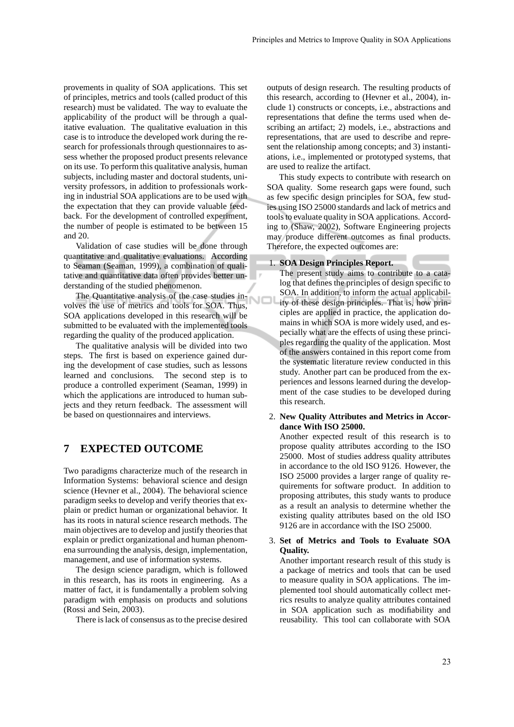provements in quality of SOA applications. This set of principles, metrics and tools (called product of this research) must be validated. The way to evaluate the applicability of the product will be through a qualitative evaluation. The qualitative evaluation in this case is to introduce the developed work during the research for professionals through questionnaires to assess whether the proposed product presents relevance on its use. To perform this qualitative analysis, human subjects, including master and doctoral students, university professors, in addition to professionals working in industrial SOA applications are to be used with the expectation that they can provide valuable feedback. For the development of controlled experiment, the number of people is estimated to be between 15 and 20.

Validation of case studies will be done through quantitative and qualitative evaluations. According to Seaman (Seaman, 1999), a combination of qualitative and quantitative data often provides better understanding of the studied phenomenon.

The Quantitative analysis of the case studies involves the use of metrics and tools for SOA. Thus, SOA applications developed in this research will be submitted to be evaluated with the implemented tools regarding the quality of the produced application.

The qualitative analysis will be divided into two steps. The first is based on experience gained during the development of case studies, such as lessons learned and conclusions. The second step is to produce a controlled experiment (Seaman, 1999) in which the applications are introduced to human subjects and they return feedback. The assessment will be based on questionnaires and interviews.

# **7 EXPECTED OUTCOME**

Two paradigms characterize much of the research in Information Systems: behavioral science and design science (Hevner et al., 2004). The behavioral science paradigm seeks to develop and verify theories that explain or predict human or organizational behavior. It has its roots in natural science research methods. The main objectives are to develop and justify theories that explain or predict organizational and human phenomena surrounding the analysis, design, implementation, management, and use of information systems.

The design science paradigm, which is followed in this research, has its roots in engineering. As a matter of fact, it is fundamentally a problem solving paradigm with emphasis on products and solutions (Rossi and Sein, 2003).

There is lack of consensus as to the precise desired

outputs of design research. The resulting products of this research, according to (Hevner et al., 2004), include 1) constructs or concepts, i.e., abstractions and representations that define the terms used when describing an artifact; 2) models, i.e., abstractions and representations, that are used to describe and represent the relationship among concepts; and 3) instantiations, i.e., implemented or prototyped systems, that are used to realize the artifact.

This study expects to contribute with research on SOA quality. Some research gaps were found, such as few specific design principles for SOA, few studies using ISO 25000 standards and lack of metrics and tools to evaluate quality in SOA applications. According to (Shaw, 2002), Software Engineering projects may produce different outcomes as final products. Therefore, the expected outcomes are:

#### 1. **SOA Design Principles Report.**

- The present study aims to contribute to a catalog that defines the principles of design specific to SOA. In addition, to inform the actual applicability of these design principles. That is, how principles are applied in practice, the application domains in which SOA is more widely used, and especially what are the effects of using these principles regarding the quality of the application. Most of the answers contained in this report come from the systematic literature review conducted in this study. Another part can be produced from the experiences and lessons learned during the development of the case studies to be developed during this research.
- 2. **New Quality Attributes and Metrics in Accordance With ISO 25000.**

Another expected result of this research is to propose quality attributes according to the ISO 25000. Most of studies address quality attributes in accordance to the old ISO 9126. However, the ISO 25000 provides a larger range of quality requirements for software product. In addition to proposing attributes, this study wants to produce as a result an analysis to determine whether the existing quality attributes based on the old ISO 9126 are in accordance with the ISO 25000.

### 3. **Set of Metrics and Tools to Evaluate SOA Quality.**

Another important research result of this study is a package of metrics and tools that can be used to measure quality in SOA applications. The implemented tool should automatically collect metrics results to analyze quality attributes contained in SOA application such as modifiability and reusability. This tool can collaborate with SOA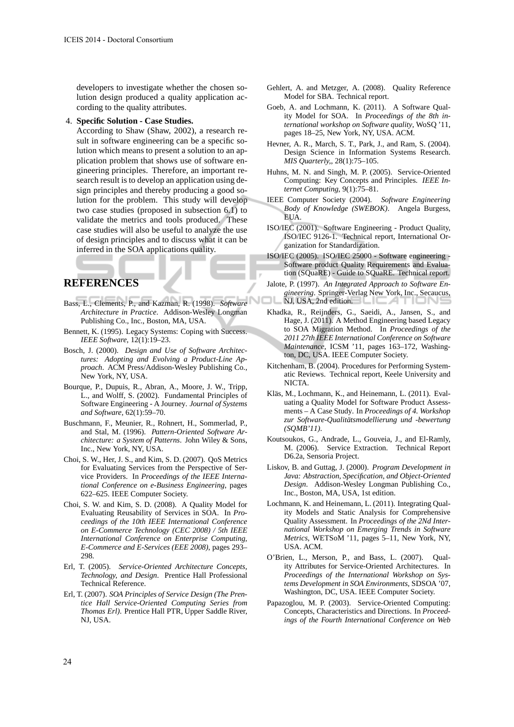developers to investigate whether the chosen solution design produced a quality application according to the quality attributes.

4. **Specific Solution - Case Studies.**

According to Shaw (Shaw, 2002), a research result in software engineering can be a specific solution which means to present a solution to an application problem that shows use of software engineering principles. Therefore, an important research result is to develop an application using design principles and thereby producing a good solution for the problem. This study will develop two case studies (proposed in subsection 6.1) to validate the metrics and tools produced. These case studies will also be useful to analyze the use of design principles and to discuss what it can be inferred in the SOA applications quality.

## **REFERENCES**

- Bass, L., Clements, P., and Kazman, R. (1998). *Software Architecture in Practice*. Addison-Wesley Longman Publishing Co., Inc., Boston, MA, USA.
- Bennett, K. (1995). Legacy Systems: Coping with Success. *IEEE Software*, 12(1):19–23.
- Bosch, J. (2000). *Design and Use of Software Architectures: Adopting and Evolving a Product-Line Approach*. ACM Press/Addison-Wesley Publishing Co., New York, NY, USA.
- Bourque, P., Dupuis, R., Abran, A., Moore, J. W., Tripp, L., and Wolff, S. (2002). Fundamental Principles of Software Engineering - A Journey. *Journal of Systems and Software*, 62(1):59–70.
- Buschmann, F., Meunier, R., Rohnert, H., Sommerlad, P., and Stal, M. (1996). *Pattern-Oriented Software Architecture: a System of Patterns*. John Wiley & Sons, Inc., New York, NY, USA.
- Choi, S. W., Her, J. S., and Kim, S. D. (2007). QoS Metrics for Evaluating Services from the Perspective of Service Providers. In *Proceedings of the IEEE International Conference on e-Business Engineering*, pages 622–625. IEEE Computer Society.
- Choi, S. W. and Kim, S. D. (2008). A Quality Model for Evaluating Reusability of Services in SOA. In *Proceedings of the 10th IEEE International Conference on E-Commerce Technology (CEC 2008) / 5th IEEE International Conference on Enterprise Computing, E-Commerce and E-Services (EEE 2008)*, pages 293– 298.
- Erl, T. (2005). *Service-Oriented Architecture Concepts, Technology, and Design*. Prentice Hall Professional Technical Reference.
- Erl, T. (2007). *SOA Principles of Service Design (The Prentice Hall Service-Oriented Computing Series from Thomas Erl)*. Prentice Hall PTR, Upper Saddle River, NJ, USA.
- Gehlert, A. and Metzger, A. (2008). Quality Reference Model for SBA. Technical report.
- Goeb, A. and Lochmann, K. (2011). A Software Quality Model for SOA. In *Proceedings of the 8th international workshop on Software quality*, WoSQ '11, pages 18–25, New York, NY, USA. ACM.
- Hevner, A. R., March, S. T., Park, J., and Ram, S. (2004). Design Science in Information Systems Research. *MIS Quarterly,*, 28(1):75–105.
- Huhns, M. N. and Singh, M. P. (2005). Service-Oriented Computing: Key Concepts and Principles. *IEEE Internet Computing*, 9(1):75–81.
- IEEE Computer Society (2004). *Software Engineering Body of Knowledge (SWEBOK)*. Angela Burgess, EUA.
- ISO/IEC (2001). Software Engineering Product Quality, ISO/IEC 9126-1. Technical report, International Organization for Standardization.
- ISO/IEC (2005). ISO/IEC 25000 Software engineering Software product Quality Requirements and Evaluation (SQuaRE) - Guide to SQuaRE. Technical report.
- Jalote, P. (1997). *An Integrated Approach to Software Engineering*. Springer-Verlag New York, Inc., Secaucus, NJ, USA, 2nd edition.
- Khadka, R., Reijnders, G., Saeidi, A., Jansen, S., and Hage, J. (2011). A Method Engineering based Legacy to SOA Migration Method. In *Proceedings of the 2011 27th IEEE International Conference on Software Maintenance*, ICSM '11, pages 163–172, Washington, DC, USA. IEEE Computer Society.
- Kitchenham, B. (2004). Procedures for Performing Systematic Reviews. Technical report, Keele University and NICTA.
- Kläs, M., Lochmann, K., and Heinemann, L. (2011). Evaluating a Quality Model for Software Product Assessments – A Case Study. In *Proceedings of 4. Workshop* zur Software-Qualitätsmodellierung und -bewertung *(SQMB'11)*.
- Koutsoukos, G., Andrade, L., Gouveia, J., and El-Ramly, M. (2006). Service Extraction. Technical Report D6.2a, Sensoria Project.
- Liskov, B. and Guttag, J. (2000). *Program Development in Java: Abstraction, Specification, and Object-Oriented Design*. Addison-Wesley Longman Publishing Co., Inc., Boston, MA, USA, 1st edition.
- Lochmann, K. and Heinemann, L. (2011). Integrating Quality Models and Static Analysis for Comprehensive Quality Assessment. In *Proceedings of the 2Nd International Workshop on Emerging Trends in Software Metrics*, WETSoM '11, pages 5–11, New York, NY, USA. ACM.
- O'Brien, L., Merson, P., and Bass, L. (2007). Quality Attributes for Service-Oriented Architectures. In *Proceedings of the International Workshop on Systems Development in SOA Environments*, SDSOA '07, Washington, DC, USA. IEEE Computer Society.
- Papazoglou, M. P. (2003). Service-Oriented Computing: Concepts, Characteristics and Directions. In *Proceedings of the Fourth International Conference on Web*